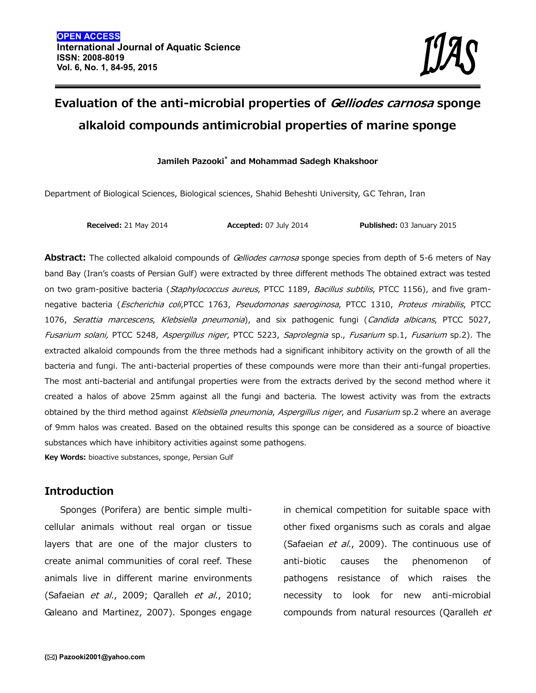# **Evaluation of the anti-microbial properties of** *Gelliodes carnosa* **sponge alkaloid compounds antimicrobial properties of marine sponge**

#### **Jamileh Pazooki\* and Mohammad Sadegh Khakshoor**

Department of Biological Sciences, Biological sciences, Shahid Beheshti University, G.C Tehran, Iran

**Received:** 21 May 2014 **Accepted:** 07 July 2014 **Published:** 03 January 2015

**Abstract:** The collected alkaloid compounds of *Gelliodes carnosa* sponge species from depth of 5-6 meters of Nay band Bay (Iran's coasts of Persian Gulf) were extracted by three different methods The obtained extract was tested on two gram-positive bacteria (*Staphylococcus aureus*, PTCC 1189, *Bacillus subtilis*, PTCC 1156), and five gram negative bacteria (*Escherichia coli*,PTCC 1763, *Pseudomonas saeroginosa*, PTCC 1310, *Proteus mirabilis*, PTCC 1076, *Serattia marcescens*, *Klebsiella pneumonia*), and six pathogenic fungi (*Candida albicans*, PTCC 5027, *Fusarium solani,* PTCC 5248, *Aspergillus niger*, PTCC 5223, *Saprolegnia* sp., *Fusarium* sp.1, *Fusarium* sp.2). The extracted alkaloid compounds from the three methods had a significant inhibitory activity on the growth of all the bacteria and fungi. The anti-bacterial properties of these compounds were more than their anti-fungal properties. The most anti-bacterial and antifungal properties were from the extracts derived by the second method where it created a halos of above 25mm against all the fungi and bacteria. The lowest activity was from the extracts obtained by the third method against *Klebsiella pneumonia*, *Aspergillus niger*, and *Fusarium* sp.2 where an average of 9mm halos was created. Based on the obtained results this sponge can be considered as a source of bioactive substances which have inhibitory activities against some pathogens.

**Key Words:** bioactive substances, sponge, Persian Gulf

### **Introduction**

Sponges (Porifera) are bentic simple multi cellular animals without real organ or tissue layers that are one of the major clusters to create animal communities of coral reef. These animals live in different marine environments (Safaeian *et al.*, 2009; Qaralleh *et al.*, 2010; Galeano and Martinez, 2007). Sponges engage

in chemical competition for suitable space with other fixed organisms such as corals and algae (Safaeian *et al.*, 2009). The continuous use of causes the phenomenon of pathogens resistance of which raises the necessity to look for new anti-microbial compounds from natural resources (Qaralleh *et*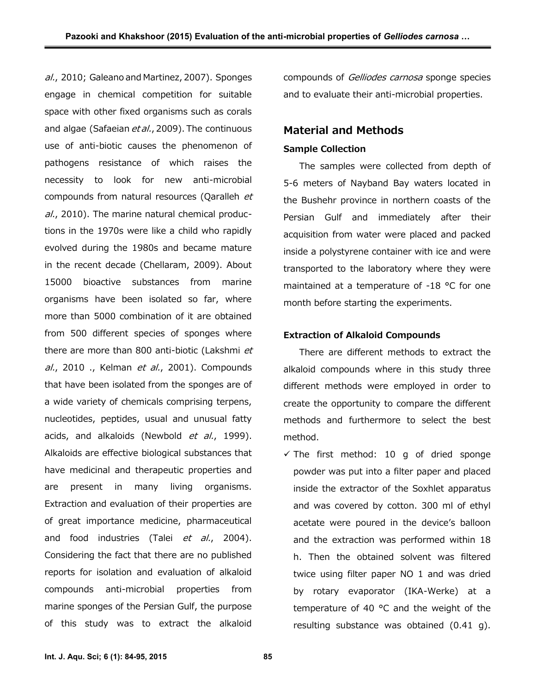*al.*, 2010; Galeano and Martinez, 2007). Sponges engage in chemical competition for suitable space with other fixed organisms such as corals and algae (Safaeian *et al.*, 2009). The continuous use of anti-biotic causes the phenomenon of pathogens resistance of which raises the necessity to look for new anti-microbial compounds from natural resources (Qaralleh *et al.*, 2010). The marine natural chemical productions in the 1970s were like a child who rapidly evolved during the 1980s and became mature in the recent decade (Chellaram, 2009). About 15000 bioactive substances from marine organisms have been isolated so far, where more than 5000 combination of it are obtained from 500 different species of sponges where there are more than 800 anti-biotic (Lakshmi *et al.*, 2010 ., Kelman *et al.*, 2001). Compounds that have been isolated from the sponges are of a wide variety of chemicals comprising terpens, nucleotides, peptides, usual and unusual fatty acids, and alkaloids (Newbold *et al.*, 1999). Alkaloids are effective biological substances that have medicinal and therapeutic properties and are present in many living organisms. Extraction and evaluation of their properties are of great importance medicine, pharmaceutical and food industries (Talei *et al.*, 2004). Considering the fact that there are no published reports for isolation and evaluation of alkaloid compounds anti-microbial properties from marine sponges of the Persian Gulf, the purpose of this study was to extract the alkaloid

compounds of *Gelliodes carnosa* sponge species and to evaluate their anti-microbial properties.

## **Material and Methods**

#### **Sample Collection**

The samples were collected from depth of 5-6 meters of Nayband Bay waters located in the Bushehr province in northern coasts of the Persian Gulf and immediately after their acquisition from water were placed and packed inside a polystyrene container with ice and were transported to the laboratory where they were maintained at a temperature of -18 °C for one month before starting the experiments.

#### **Extraction of Alkaloid Compounds**

There are different methods to extract the alkaloid compounds where in this study three different methods were employed in order to create the opportunity to compare the different methods and furthermore to select the best method.

 $\checkmark$  The first method: 10 g of dried sponge powder was put into a filter paper and placed inside the extractor of the Soxhlet apparatus and was covered by cotton. 300 ml of ethyl acetate were poured in the device's balloon and the extraction was performed within 18 h. Then the obtained solvent was filtered twice using filter paper NO 1 and was dried by rotary evaporator (IKA-Werke) at a temperature of 40 °C and the weight of the resulting substance was obtained (0.41 g).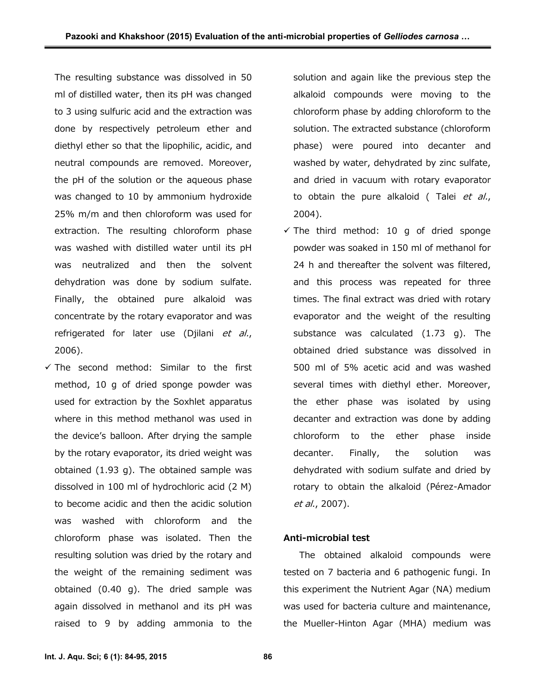The resulting substance was dissolved in 50 ml of distilled water, then its pH was changed to 3 using sulfuric acid and the extraction was done by respectively petroleum ether and diethyl ether so that the lipophilic, acidic, and neutral compounds are removed. Moreover, the pH of the solution or the aqueous phase was changed to 10 by ammonium hydroxide 25% m/m and then chloroform was used for extraction. The resulting chloroform phase was washed with distilled water until its pH was neutralized and then the solvent dehydration was done by sodium sulfate. Finally, the obtained pure alkaloid was concentrate by the rotary evaporator and was refrigerated for later use (Djilani *et al.*, 2006).

 $\checkmark$  The second method: Similar to the first method, 10 g of dried sponge powder was used for extraction by the Soxhlet apparatus where in this method methanol was used in the device's balloon. After drying the sample by the rotary evaporator, its dried weight was obtained (1.93 g). The obtained sample was dissolved in 100 ml of hydrochloric acid (2 M) to become acidic and then the acidic solution was washed with chloroform and the chloroform phase was isolated. Then the resulting solution was dried by the rotary and the weight of the remaining sediment was obtained (0.40 g). The dried sample was again dissolved in methanol and its pH was raised to 9 by adding ammonia to the

solution and again like the previous step the alkaloid compounds were moving to the chloroform phase by adding chloroform to the solution. The extracted substance (chloroform phase) were poured into decanter and washed by water, dehydrated by zinc sulfate, and dried in vacuum with rotary evaporator to obtain the pure alkaloid ( Talei *et al.*, 2004).

 $\checkmark$  The third method: 10 g of dried sponge powder was soaked in 150 ml of methanol for 24 h and thereafter the solvent was filtered, and this process was repeated for three times. The final extract was dried with rotary evaporator and the weight of the resulting substance was calculated (1.73 g). The obtained dried substance was dissolved in 500 ml of 5% acetic acid and was washed several times with diethyl ether. Moreover, the ether phase was isolated by using decanter and extraction was done by adding chloroform to the ether phase inside decanter. Finally, the solution was dehydrated with sodium sulfate and dried by rotary to obtain the alkaloid (Pérez-Amador *et al.*, 2007).

#### **Anti-microbial test**

The obtained alkaloid compounds were tested on 7 bacteria and 6 pathogenic fungi. In this experiment the Nutrient Agar (NA) medium was used for bacteria culture and maintenance, the Mueller-Hinton Agar (MHA) medium was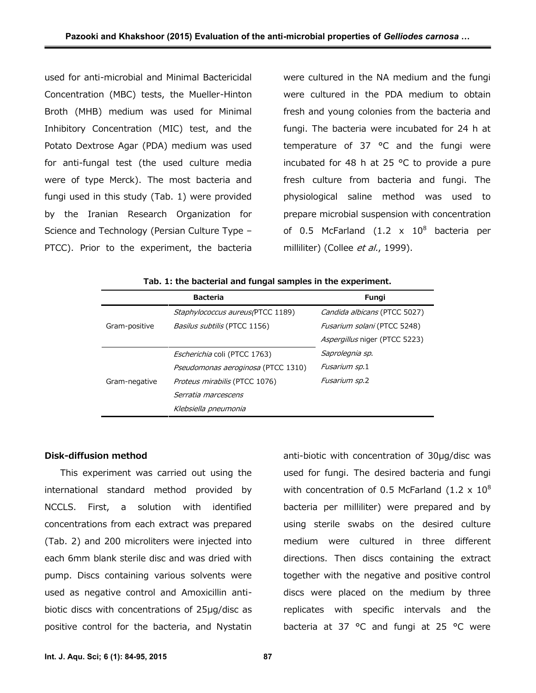used for anti-microbial and Minimal Bactericidal Concentration (MBC) tests, the Mueller-Hinton Broth (MHB) medium was used for Minimal Inhibitory Concentration (MIC) test, and the Potato Dextrose Agar (PDA) medium was used for anti-fungal test (the used culture media were of type Merck). The most bacteria and fungi used in this study (Tab. 1) were provided by the Iranian Research Organization for Science and Technology (Persian Culture Type – PTCC). Prior to the experiment, the bacteria

were cultured in the NA medium and the fungi were cultured in the PDA medium to obtain fresh and young colonies from the bacteria and fungi. The bacteria were incubated for 24 h at temperature of 37 °C and the fungi were incubated for 48 h at 25 °C to provide a pure fresh culture from bacteria and fungi. The physiological saline method was used to prepare microbial suspension with concentration of 0.5 McFarland (1.2  $\times$  10<sup>8</sup> bacteria per milliliter) (Collee *et al.*, 1999).

|               | <b>Bacteria</b>                      | Fungi                              |  |
|---------------|--------------------------------------|------------------------------------|--|
|               | Staphylococcus aureus(PTCC 1189)     | Candida albicans (PTCC 5027)       |  |
| Gram-positive | <i>Basilus subtilis</i> (PTCC 1156)  | <i>Fusarium solani</i> (PTCC 5248) |  |
|               |                                      | Aspergillus niger (PTCC 5223)      |  |
|               | <i>Escherichia</i> coli (PTCC 1763)  | Saprolegnia sp.                    |  |
| Gram-negative | Pseudomonas aeroginosa (PTCC 1310)   | Fusarium sp.1                      |  |
|               | <i>Proteus mirabilis</i> (PTCC 1076) | <i>Fusarium sp.2</i>               |  |
|               | Serratia marcescens                  |                                    |  |
|               | Klebsiella pneumonia                 |                                    |  |

**Tab. 1: the bacterial and fungal samples in the experiment.**

#### **Disk-diffusion method**

This experiment was carried out using the international standard method provided by NCCLS. First, a solution with identified concentrations from each extract was prepared (Tab. 2) and 200 microliters were injected into each 6mm blank sterile disc and was dried with pump. Discs containing various solvents were used as negative control and Amoxicillin anti biotic discs with concentrations of 25μg/disc as positive control for the bacteria, and Nystatin

anti-biotic with concentration of 30μg/disc was used for fungi. The desired bacteria and fungi with concentration of 0.5 McFarland (1.2  $\times$  10<sup>8</sup> bacteria per milliliter) were prepared and by using sterile swabs on the desired culture medium were cultured in three different directions. Then discs containing the extract together with the negative and positive control discs were placed on the medium by three replicates with specific intervals and the bacteria at 37 °C and fungi at 25 °C were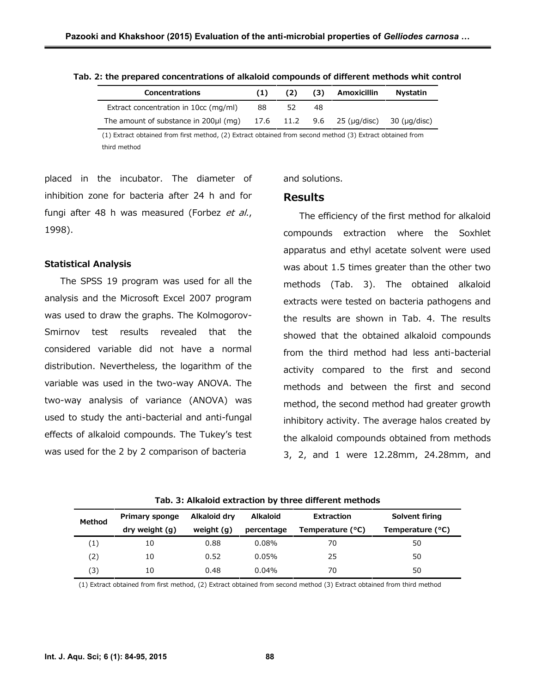| <b>Concentrations</b>                                              |    | (2) | (3) | Amoxicillin | <b>Nystatin</b> |
|--------------------------------------------------------------------|----|-----|-----|-------------|-----------------|
| Extract concentration in 10cc (mg/ml)                              | 88 |     | 48  |             |                 |
| The amount of substance in 200µl (mg) $17.6$ 11.2 9.6 25 (µg/disc) |    |     |     |             | 30 (µq/disc)    |

(1) Extract obtained from first method, (2) Extract obtained from second method (3) Extract obtained from third method

placed in the incubator. The diameter of inhibition zone for bacteria after 24 h and for fungi after 48 h was measured (Forbez *et al.*, 1998).

#### **Statistical Analysis**

The SPSS 19 program was used for all the analysis and the Microsoft Excel 2007 program was used to draw the graphs. The Kolmogorov- Smirnov test results revealed that the considered variable did not have a normal distribution. Nevertheless, the logarithm of the variable was used in the two-way ANOVA. The two-way analysis of variance (ANOVA) was used to study the anti-bacterial and anti-fungal effects of alkaloid compounds. The Tukey's test was used for the 2 by 2 comparison of bacteria

#### and solutions.

#### **Results**

The efficiency of the first method for alkaloid compounds extraction where the Soxhlet apparatus and ethyl acetate solvent were used was about 1.5 times greater than the other two methods (Tab. 3). The obtained alkaloid extracts were tested on bacteria pathogens and the results are shown in Tab. 4. The results showed that the obtained alkaloid compounds from the third method had less anti-bacterial activity compared to the first and second methods and between the first and second method, the second method had greater growth inhibitory activity. The average halos created by the alkaloid compounds obtained from methods 3, 2, and 1 were 12.28mm, 24.28mm, and

| Tab. 3: Alkaloid extraction by three different methods |  |
|--------------------------------------------------------|--|
|--------------------------------------------------------|--|

| Method            | <b>Primary sponge</b> | Alkaloid dry | <b>Alkaloid</b> | Extraction       | Solvent firing   |
|-------------------|-----------------------|--------------|-----------------|------------------|------------------|
|                   | dry weight (g)        | weight $(q)$ | percentage      | Temperature (°C) | Temperature (°C) |
| $\left(1\right)$  | 10                    | 0.88         | 0.08%           | 70               | 50               |
| $\left( 2\right)$ | 10                    | 0.52         | 0.05%           | 25               | 50               |
| (3)               | 10                    | 0.48         | $0.04\%$        | 70               | 50               |

(1) Extract obtained from first method, (2) Extract obtained from second method (3) Extract obtained from third method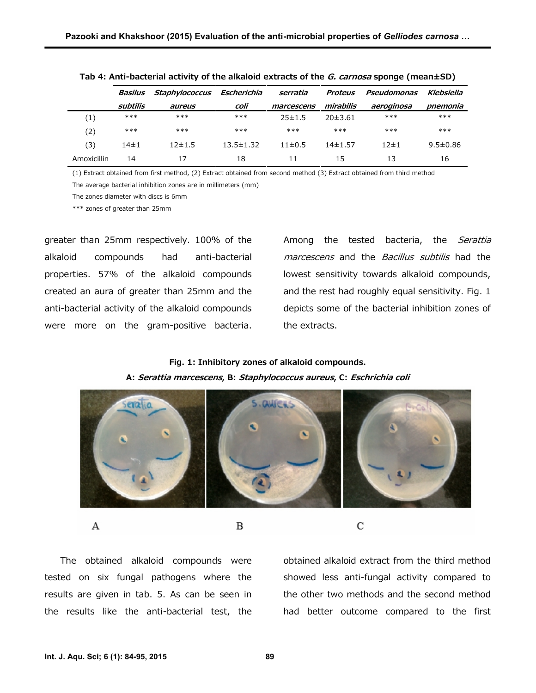|                   | Basilus    | Staphylococcus Escherichia |                 | serratia<br><b>Proteus</b> |             | Pseudomonas | Klebsiella     |
|-------------------|------------|----------------------------|-----------------|----------------------------|-------------|-------------|----------------|
|                   | subtilis   | aureus                     | coli            | marcescens                 | mirabilis   | aeroginosa  | pnemonia       |
| $\left( 1\right)$ | ***        | $***$                      | ***             | 25±1.5                     | 20±3.61     | $***$       | ***            |
| (2)               | ***        | $***$                      | $***$           | $***$                      | $***$       | $***$       | $***$          |
| (3)               | $14 \pm 1$ | $12 + 1.5$                 | $13.5 \pm 1.32$ | $11\pm0.5$                 | $14\pm1.57$ | $12 + 1$    | $9.5 \pm 0.86$ |
| Amoxicillin       | 14         | 17                         | 18              | 11                         | 15          | 13          | 16             |

| Tab 4: Anti-bacterial activity of the alkaloid extracts of the <i>G. carnosa</i> sponge (mean±SD) |  |
|---------------------------------------------------------------------------------------------------|--|
|---------------------------------------------------------------------------------------------------|--|

(1) Extract obtained from first method, (2) Extract obtained from second method (3) Extract obtained from third method

The average bacterial inhibition zones are in millimeters (mm)

The zones diameter with discs is 6mm

\*\*\* zones of greater than 25mm

greater than 25mm respectively. 100% of the alkaloid compounds had anti-bacterial properties. 57% of the alkaloid compounds created an aura of greater than 25mm and the anti-bacterial activity of the alkaloid compounds were more on the gram-positive bacteria.

Among the tested bacteria, the *Serattia marcescens* and the *Bacillus subtilis* had the lowest sensitivity towards alkaloid compounds, and the rest had roughly equal sensitivity. Fig. 1 depicts some of the bacterial inhibition zones of the extracts.

## **Fig. 1: Inhibitory zones of alkaloid compounds.**

**A:** *Serattia marcescens***, B:** *Staphylococcus aureus***, C:** *Eschrichia coli*



B

A

The obtained alkaloid compounds were tested on six fungal pathogens where the results are given in tab. 5. As can be seen in the results like the anti-bacterial test, the obtained alkaloid extract from the third method showed less anti-fungal activity compared to the other two methods and the second method had better outcome compared to the first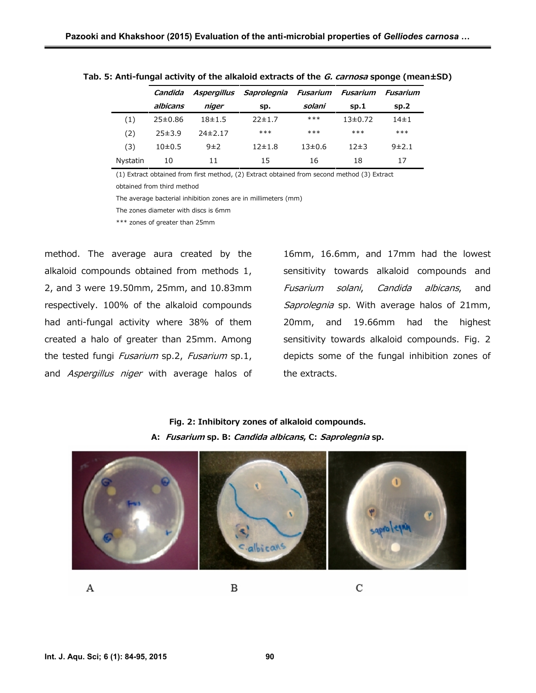|                  | Candida  |            | Aspergillus Saprolegnia Fusarium |            | Fusarium    | Fusarium |
|------------------|----------|------------|----------------------------------|------------|-------------|----------|
|                  | albicans | niger      | SD.                              | solani     | SD.1        | sp.2     |
| $\left(1\right)$ | 25±0.86  | $18 + 1.5$ | 22±1.7                           | ***        | $13\pm0.72$ | $14\pm1$ |
| (2)              | 25±3.9   | 74±2.17    | $***$                            | $***$      | $***$       | $***$    |
| (3)              | 10±0.5   | 9±2        | $12 \pm 1.8$                     | $13\pm0.6$ | 12±3        | 9±2.1    |
| Nystatin         | 10       | 11         | 15                               | 16         | 18          |          |

**Tab. 5: Anti-fungal activity of the alkaloid extracts of the** *G. carnosa* **sponge (mean±SD)**

(1) Extract obtained from first method, (2) Extract obtained from second method (3) Extract

obtained from third method

The average bacterial inhibition zones are in millimeters (mm)

The zones diameter with discs is 6mm

\*\*\* zones of greater than 25mm

method. The average aura created by the alkaloid compounds obtained from methods 1, 2, and 3 were 19.50mm, 25mm, and 10.83mm respectively. 100% of the alkaloid compounds had anti-fungal activity where 38% of them created a halo of greater than 25mm. Among the tested fungi *Fusarium* sp.2, *Fusarium* sp.1, and *Aspergillus niger* with average halos of

16mm, 16.6mm, and 17mm had the lowest sensitivity towards alkaloid compounds and *Fusarium solani*, *Candida albicans*, and *Saprolegnia* sp. With average halos of 21mm, 20mm, and 19.66mm had the highest sensitivity towards alkaloid compounds. Fig. 2 depicts some of the fungal inhibition zones of the extracts.

**Fig. 2: Inhibitory zones of alkaloid compounds. A:** *Fusarium* **sp. B:** *Candida albicans***, C:** *Saprolegnia* **sp.**



А

В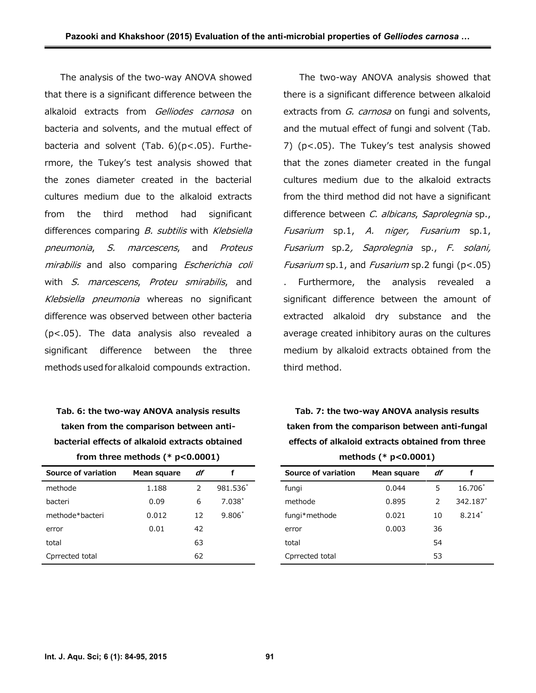The analysis of the two-way ANOVA showed that there is a significant difference between the alkaloid extracts from *Gelliodes carnosa* on bacteria and solvents, and the mutual effect of bacteria and solvent (Tab. 6)(p<.05). Furthermore, the Tukey's test analysis showed that the zones diameter created in the bacterial cultures medium due to the alkaloid extracts from the third method had significant differences comparing *B. subtilis* with *Klebsiella pneumonia*, *S. marcescens*, and *Proteus mirabilis* and also comparing *Escherichia coli* with *S. marcescens*, *Proteu smirabilis*, and *Klebsiella pneumonia* whereas no significant difference was observed between other bacteria (p<.05). The data analysis also revealed a significant difference between the three methods used for alkaloid compounds extraction.

**Tab. 6: the two-way ANOVA analysis results taken from the comparison between anti bacterial effects of alkaloid extracts obtained from three methods (\* p<0.0001)**

| Source of variation | Mean square | df            |          |
|---------------------|-------------|---------------|----------|
| methode             | 1.188       | $\mathcal{P}$ | 981.536  |
| bacteri             | 0.09        | 6             | $7.038*$ |
| methode*bacteri     | 0.012       | 12            | $9.806*$ |
| error               | 0.01        | 42            |          |
| total               |             | 63            |          |
| Cprrected total     |             | 62            |          |

The two-way ANOVA analysis showed that there is a significant difference between alkaloid extracts from *G. carnosa* on fungi and solvents, and the mutual effect of fungi and solvent (Tab. 7) (p<.05). The Tukey's test analysis showed that the zones diameter created in the fungal cultures medium due to the alkaloid extracts from the third method did not have a significant difference between *C. albicans*, *Saprolegnia* sp., *Fusarium* sp.1, *A. niger, Fusarium* sp.1, *Fusarium* sp.2*, Saprolegnia* sp., *F. solani, Fusarium* sp.1, and *Fusarium* sp.2 fungi (p<.05) . Furthermore, the analysis revealed a significant difference between the amount of extracted alkaloid dry substance and the average created inhibitory auras on the cultures medium by alkaloid extracts obtained from the third method.

**Tab. 7: the two-way ANOVA analysis results taken from the comparison between anti-fungal effects of alkaloid extracts obtained from three methods (\* p<0.0001)**

| Source of variation | Mean square | df |          |
|---------------------|-------------|----|----------|
| fungi               | 0.044       | 5  | 16.706   |
| methode             | 0.895       | 2  | 342.187* |
| fungi*methode       | 0.021       | 10 | $8.214*$ |
| error               | 0.003       | 36 |          |
| total               |             | 54 |          |
| Cprrected total     |             | 53 |          |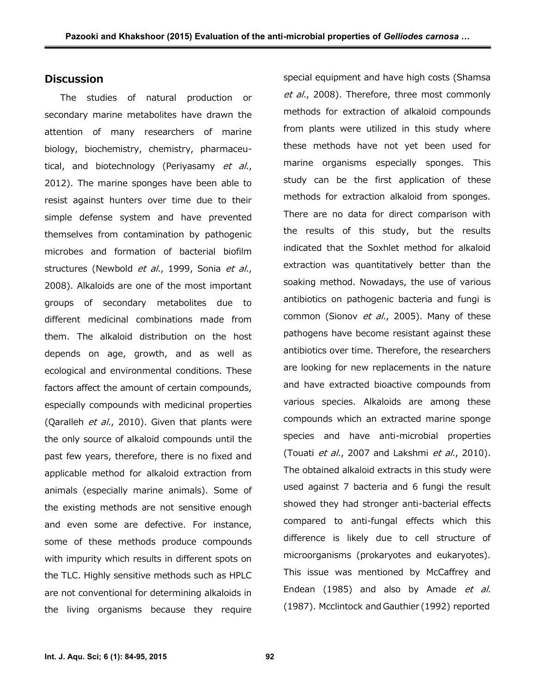#### **Discussion**

The studies of natural production or secondary marine metabolites have drawn the attention of many researchers of marine biology, biochemistry, chemistry, pharmaceutical, and biotechnology (Periyasamy *et al.*, 2012). The marine sponges have been able to resist against hunters over time due to their simple defense system and have prevented themselves from contamination by pathogenic microbes and formation of bacterial biofilm structures (Newbold *et al.*, 1999, Sonia *et al.*, 2008). Alkaloids are one of the most important groups of secondary metabolites due to different medicinal combinations made from them. The alkaloid distribution on the host depends on age, growth, and as well as ecological and environmental conditions. These factors affect the amount of certain compounds, especially compounds with medicinal properties (Qaralleh *et al.*, 2010). Given that plants were the only source of alkaloid compounds until the past few years, therefore, there is no fixed and applicable method for alkaloid extraction from animals (especially marine animals). Some of the existing methods are not sensitive enough and even some are defective. For instance, some of these methods produce compounds with impurity which results in different spots on the TLC. Highly sensitive methods such as HPLC are not conventional for determining alkaloids in the living organisms because they require

special equipment and have high costs (Shamsa *et al.*, 2008). Therefore, three most commonly methods for extraction of alkaloid compounds from plants were utilized in this study where these methods have not yet been used for marine organisms especially sponges. This study can be the first application of these methods for extraction alkaloid from sponges. There are no data for direct comparison with the results of this study, but the results indicated that the Soxhlet method for alkaloid extraction was quantitatively better than the soaking method. Nowadays, the use of various antibiotics on pathogenic bacteria and fungi is common (Sionov *et al.*, 2005). Many of these pathogens have become resistant against these antibiotics over time. Therefore, the researchers are looking for new replacements in the nature and have extracted bioactive compounds from various species. Alkaloids are among these compounds which an extracted marine sponge species and have anti-microbial properties (Touati *et al.*, 2007 and Lakshmi *et al.*, 2010). The obtained alkaloid extracts in this study were used against 7 bacteria and 6 fungi the result showed they had stronger anti-bacterial effects compared to anti-fungal effects which this difference is likely due to cell structure of microorganisms (prokaryotes and eukaryotes). This issue was mentioned by McCaffrey and Endean (1985) and also by Amade *et al.* (1987). Mcclintock and Gauthier (1992) reported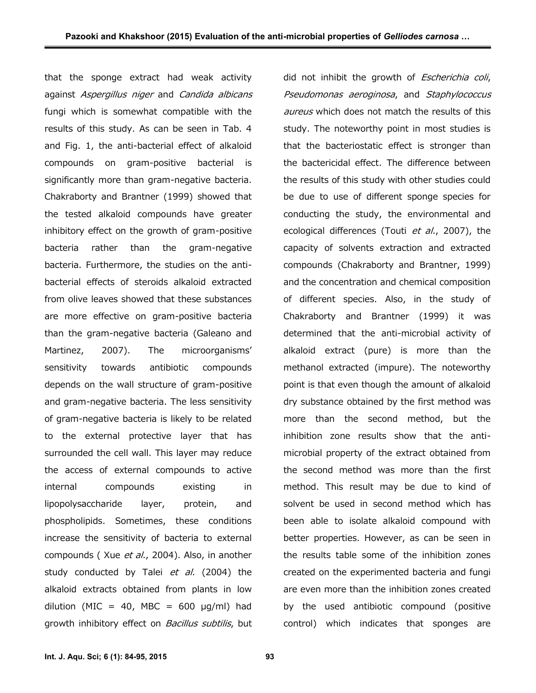that the sponge extract had weak activity against *Aspergillus niger* and *Candida albicans* fungi which is somewhat compatible with the results of this study. As can be seen in Tab. 4 and Fig. 1, the anti-bacterial effect of alkaloid compounds on gram-positive bacterial is significantly more than gram-negative bacteria. Chakraborty and Brantner (1999) showed that the tested alkaloid compounds have greater inhibitory effect on the growth of gram-positive bacteria rather than the gram-negative bacteria. Furthermore, the studies on the anti bacterial effects of steroids alkaloid extracted from olive leaves showed that these substances are more effective on gram-positive bacteria than the gram-negative bacteria (Galeano and Martinez, 2007). The microorganisms' sensitivity towards antibiotic compounds depends on the wall structure of gram-positive and gram-negative bacteria. The less sensitivity of gram-negative bacteria is likely to be related to the external protective layer that has surrounded the cell wall. This layer may reduce the access of external compounds to active internal compounds existing in lipopolysaccharide layer, protein, and phospholipids. Sometimes, these conditions increase the sensitivity of bacteria to external compounds ( Xue *et al.*, 2004). Also, in another study conducted by Talei *et al.* (2004) the alkaloid extracts obtained from plants in low dilution (MIC = 40, MBC = 600  $\mu$ g/ml) had growth inhibitory effect on *Bacillus subtilis*, but

did not inhibit the growth of *Escherichia coli*, *Pseudomonas aeroginosa*, and *Staphylococcus aureus* which does not match the results of this study. The noteworthy point in most studies is that the bacteriostatic effect is stronger than the bactericidal effect. The difference between the results of this study with other studies could be due to use of different sponge species for conducting the study, the environmental and ecological differences (Touti *et al.*, 2007), the capacity of solvents extraction and extracted compounds (Chakraborty and Brantner, 1999) and the concentration and chemical composition of different species. Also, in the study of Chakraborty and Brantner (1999) it was determined that the anti-microbial activity of alkaloid extract (pure) is more than the methanol extracted (impure). The noteworthy point is that even though the amount of alkaloid dry substance obtained by the first method was more than the second method, but the inhibition zone results show that the anti microbial property of the extract obtained from the second method was more than the first method. This result may be due to kind of solvent be used in second method which has been able to isolate alkaloid compound with better properties. However, as can be seen in the results table some of the inhibition zones created on the experimented bacteria and fungi are even more than the inhibition zones created by the used antibiotic compound (positive control) which indicates that sponges are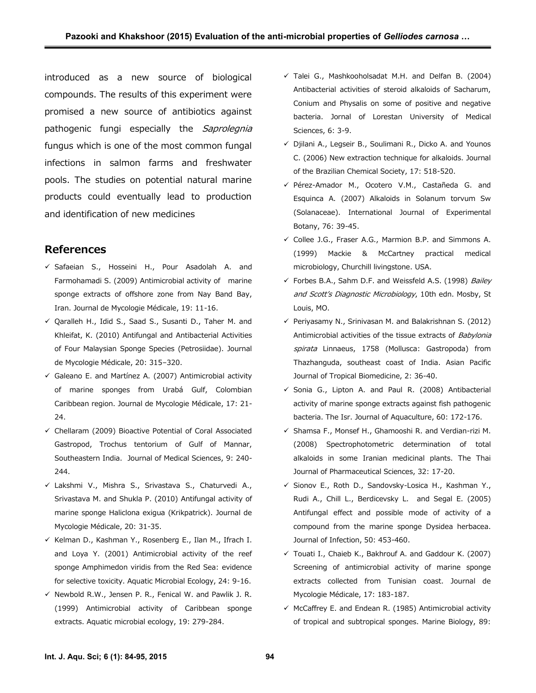introduced as a new source of biological compounds. The results of this experiment were promised a new source of antibiotics against pathogenic fungi especially the *Saprolegnia* fungus which is one of the most common fungal infections in salmon farms and freshwater pools. The studies on potential natural marine products could eventually lead to production and identification of new medicines

### **References**

- $\checkmark$  Safaeian S., Hosseini H., Pour Asadolah A. and Farmohamadi S. (2009) Antimicrobial activity of marine sponge extracts of offshore zone from Nay Band Bay, Iran. Journal de Mycologie Médicale, 19: 11-16.
- Qaralleh H., Idid S., Saad S., Susanti D., Taher M. and Khleifat, K. (2010) Antifungal and Antibacterial Activities of Four Malaysian Sponge Species (Petrosiidae). Journal de Mycologie Médicale, 20: 315–320.
- $\checkmark$  Galeano E. and Martínez A. (2007) Antimicrobial activity of marine sponges from Urabá Gulf, Colombian Caribbean region. Journal de Mycologie Médicale, 17: 21- 24.
- $\checkmark$  Chellaram (2009) Bioactive Potential of Coral Associated Gastropod, Trochus tentorium of Gulf of Mannar, Southeastern India. Journal of Medical Sciences, 9: 240- 244.
- Lakshmi V., Mishra S., Srivastava S., Chaturvedi A., Srivastava M. and Shukla P. (2010) Antifungal activity of marine sponge Haliclona exigua (Krikpatrick). Journal de Mycologie Médicale, 20: 31-35.
- $\checkmark$  Kelman D., Kashman Y., Rosenberg E., Ilan M., Ifrach I. and Loya Y. (2001) Antimicrobial activity of the reef sponge Amphimedon viridis from the Red Sea: evidence for selective toxicity. Aquatic Microbial Ecology, 24: 9-16.
- $\checkmark$  Newbold R.W., Jensen P. R., Fenical W. and Pawlik J. R. (1999) Antimicrobial activity of Caribbean sponge extracts. Aquatic microbial ecology, 19: 279-284.
- $\checkmark$  Talei G., Mashkooholsadat M.H. and Delfan B. (2004) Antibacterial activities of steroid alkaloids of Sacharum, Conium and Physalis on some of positive and negative bacteria. Jornal of Lorestan University of Medical Sciences, 6: 3-9.
- $\checkmark$  Djilani A., Legseir B., Soulimani R., Dicko A. and Younos C. (2006) New extraction technique for alkaloids. Journal of the Brazilian Chemical Society, 17: 518-520.
- Pérez-Amador M., Ocotero V.M., Castañeda G. and Esquinca A. (2007) Alkaloids in Solanum torvum Sw (Solanaceae). International Journal of Experimental Botany, 76: 39-45.
- $\checkmark$  Collee J.G., Fraser A.G., Marmion B.P. and Simmons A. (1999) Mackie & McCartney practical medical microbiology, Churchill livingstone. USA.
- Forbes B.A., Sahm D.F. and Weissfeld A.S. (1998) *Bailey and Scott's Diagnostic Microbiology*, 10th edn. Mosby, St Louis, MO.
- $\checkmark$  Periyasamy N., Srinivasan M. and Balakrishnan S. (2012) Antimicrobial activities of the tissue extracts of *Babylonia spirata* Linnaeus, 1758 (Mollusca: Gastropoda) from Thazhanguda, southeast coast of India. Asian Pacific Journal of Tropical Biomedicine, 2: 36-40.
- $\checkmark$  Sonia G., Lipton A. and Paul R. (2008) Antibacterial activity of marine sponge extracts against fish pathogenic bacteria. The Isr. Journal of Aquaculture, 60: 172-176.
- $\checkmark$  Shamsa F., Monsef H., Ghamooshi R. and Verdian-rizi M. (2008) Spectrophotometric determination of total alkaloids in some Iranian medicinal plants. The Thai Journal of Pharmaceutical Sciences, 32: 17-20.
- $\checkmark$  Sionov E., Roth D., Sandovsky-Losica H., Kashman Y., Rudi A., Chill L., Berdicevsky L. and Segal E. (2005) Antifungal effect and possible mode of activity of a compound from the marine sponge Dysidea herbacea. Journal of Infection, 50: 453-460.
- $\checkmark$  Touati I., Chaieb K., Bakhrouf A. and Gaddour K. (2007) Screening of antimicrobial activity of marine sponge extracts collected from Tunisian coast. Journal de Mycologie Médicale, 17: 183-187.
- $\checkmark$  McCaffrey E. and Endean R. (1985) Antimicrobial activity of tropical and subtropical sponges. Marine Biology, 89: